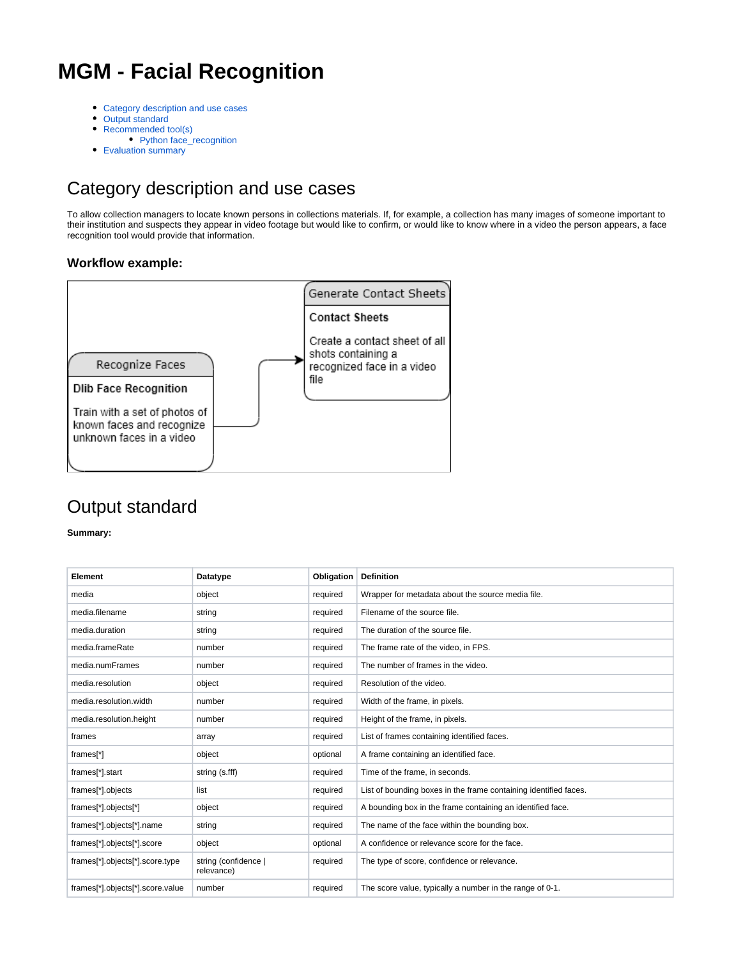# **MGM - Facial Recognition**

- [Category description and use cases](#page-0-0)
- [Output standard](#page-0-1)
- [Recommended tool\(s\)](#page-4-0)
- [Python face\\_recognition](#page-4-1)
- [Evaluation summary](#page-5-0)

## <span id="page-0-0"></span>Category description and use cases

To allow collection managers to locate known persons in collections materials. If, for example, a collection has many images of someone important to their institution and suspects they appear in video footage but would like to confirm, or would like to know where in a video the person appears, a face recognition tool would provide that information.

#### **Workflow example:**



### <span id="page-0-1"></span>Output standard

**Summary:**

| Element                          | Datatype                          | Obligation | <b>Definition</b>                                                |
|----------------------------------|-----------------------------------|------------|------------------------------------------------------------------|
| media                            | object                            | required   | Wrapper for metadata about the source media file.                |
| media.filename                   | string                            | required   | Filename of the source file.                                     |
| media.duration                   | string                            | required   | The duration of the source file.                                 |
| media.frameRate                  | number                            | required   | The frame rate of the video, in FPS.                             |
| media.numFrames                  | number                            | required   | The number of frames in the video.                               |
| media.resolution                 | object                            | required   | Resolution of the video.                                         |
| media.resolution.width           | number                            | required   | Width of the frame, in pixels.                                   |
| media.resolution.height          | number                            | required   | Height of the frame, in pixels.                                  |
| frames                           | array                             | required   | List of frames containing identified faces.                      |
| frames[*]                        | object                            | optional   | A frame containing an identified face.                           |
| frames[*].start                  | string (s.fff)                    | required   | Time of the frame, in seconds.                                   |
| frames[*].objects                | list                              | required   | List of bounding boxes in the frame containing identified faces. |
| frames[*].objects[*]             | object                            | required   | A bounding box in the frame containing an identified face.       |
| frames[*].objects[*].name        | string                            | required   | The name of the face within the bounding box.                    |
| frames[*].objects[*].score       | object                            | optional   | A confidence or relevance score for the face.                    |
| frames[*].objects[*].score.type  | string (confidence)<br>relevance) | required   | The type of score, confidence or relevance.                      |
| frames[*].objects[*].score.value | number                            | required   | The score value, typically a number in the range of 0-1.         |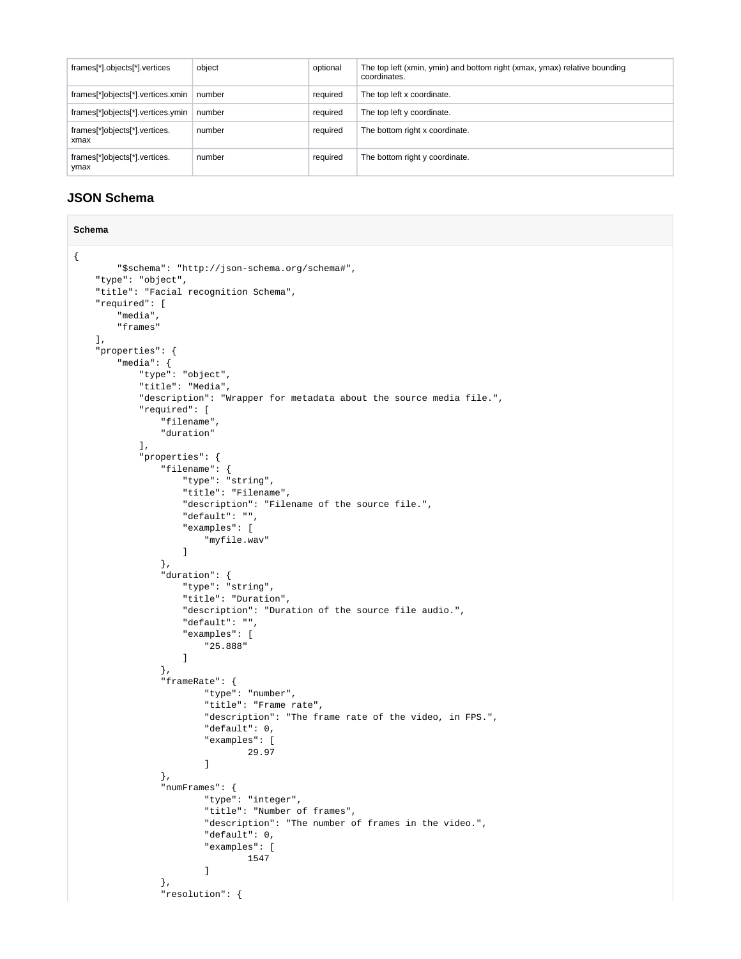| frames[*].objects[*].vertices         | object | optional | The top left (xmin, ymin) and bottom right (xmax, ymax) relative bounding<br>coordinates. |
|---------------------------------------|--------|----------|-------------------------------------------------------------------------------------------|
| frames[*]objects[*].vertices.xmin     | number | required | The top left x coordinate.                                                                |
| frames[*]objects[*].vertices.ymin     | number | required | The top left y coordinate.                                                                |
| frames[*]objects[*].vertices.<br>xmax | number | required | The bottom right x coordinate.                                                            |
| frames[*]objects[*].vertices.<br>ymax | number | required | The bottom right y coordinate.                                                            |

#### **JSON Schema**

```
Schema
{
            "$schema": "http://json-schema.org/schema#",
      "type": "object",
      "title": "Facial recognition Schema",
      "required": [
            "media",
            "frames"
      ],
       "properties": {
            "media": {
                  "type": "object",
                  "title": "Media",
                  "description": "Wrapper for metadata about the source media file.",
                  "required": [
                       "filename",
                       "duration"
                  ],
                  "properties": {
                       "filename": {
                             "type": "string",
                             "title": "Filename",
                             "description": "Filename of the source file.",
                             "default": "",
                             "examples": [
                                  "myfile.wav"
and the state of the state of the state of the state of the state of the state of the state of the state of the
                        },
                        "duration": {
                             "type": "string",
                             "title": "Duration",
                             "description": "Duration of the source file audio.",
                             "default": "",
                             "examples": [
                                   "25.888"
and the state of the state of the state of the state of the state of the state of the state of the state of the
                        },
                        "frameRate": {
                                  "type": "number",
                                  "title": "Frame rate",
                                   "description": "The frame rate of the video, in FPS.",
                                   "default": 0,
                                   "examples": [
                                             29.97
design to the control of the control of the control of the control of the control of the control of the control of
                        },
                        "numFrames": {
                                  "type": "integer",
                                   "title": "Number of frames",
                                  "description": "The number of frames in the video.",
                                  "default": 0,
                                  "examples": [
                                             1547
design to the control of the control of the control of the control of the control of the control of the control of
                        },
                        "resolution": {
```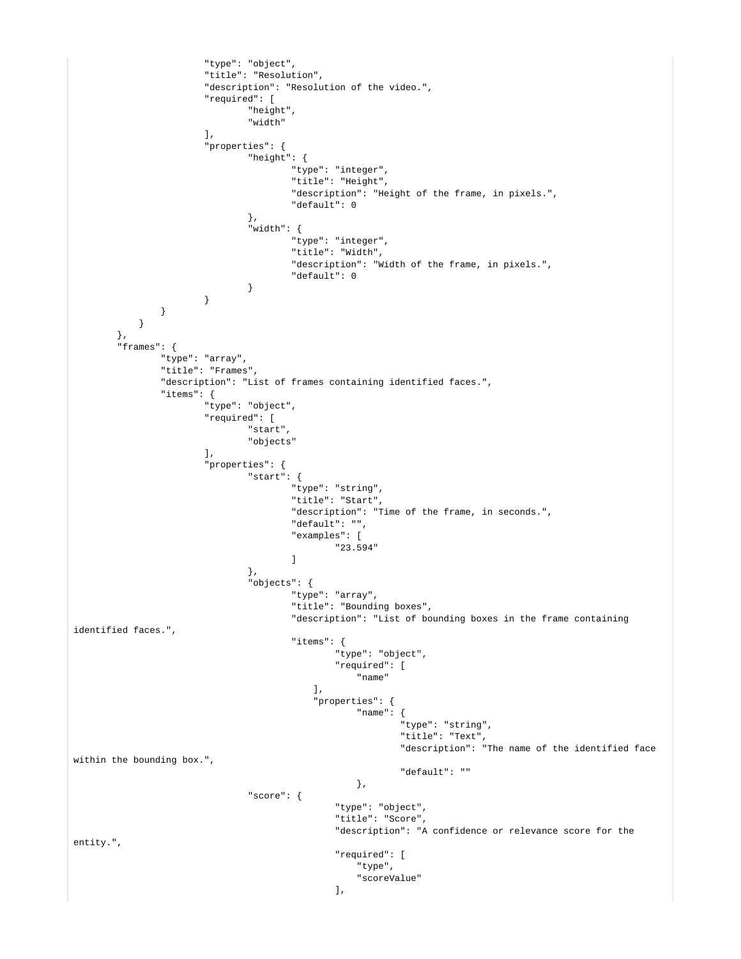```
 "type": "object",
                           "title": "Resolution",
                           "description": "Resolution of the video.",
                           "required": [
                                    "height",
                                    "width"
 ],
                           "properties": {
                                    "height": {
                                             "type": "integer",
                                             "title": "Height",
                                             "description": "Height of the frame, in pixels.",
                                             "default": 0
\} , we have the contract of \} ,
                                    "width": {
                                             "type": "integer",
                                             "title": "Width",
                                             "description": "Width of the frame, in pixels.",
                                             "default": 0
 }
 }
                 }
            }
          },
          "frames": {
                  "type": "array",
                  "title": "Frames",
                  "description": "List of frames containing identified faces.",
                  "items": {
                           "type": "object",
                           "required": [
                                    "start",
                                    "objects"
 ],
                           "properties": {
                                    "start": {
                                             "type": "string",
                                             "title": "Start",
                                             "description": "Time of the frame, in seconds.",
                                             "default": "",
                                             "examples": [
                                                     "23.594"
design to the control of the control of the control of the control of the control of the control of the control of
\} , we have the contract of \} ,
                                    "objects": {
                                             "type": "array",
                                             "title": "Bounding boxes",
                                             "description": "List of bounding boxes in the frame containing 
identified faces.",
                                             "items": {
                                                     "type": "object",
                                                      "required": [
 "name"
, the contract of the contract of the contract of \mathbb{I}_\lambda "properties": {
                                                          "name": {
                                                                   "type": "string",
                                                                   "title": "Text",
                                                                   "description": "The name of the identified face 
within the bounding box.",
                                                                   "default": ""
\} , and the contract of the contract of the contract of the contract of the contract of the contract of the contract of the contract of the contract of the contract of the contract of the contract of the contract of th
                                    "score": {
                                                      "type": "object",
                                                      "title": "Score",
                                                      "description": "A confidence or relevance score for the 
entity.",
                                                      "required": [
                                                          "type",
                                                      "scoreValue"
\mathbf{1}, \mathbf{1}
```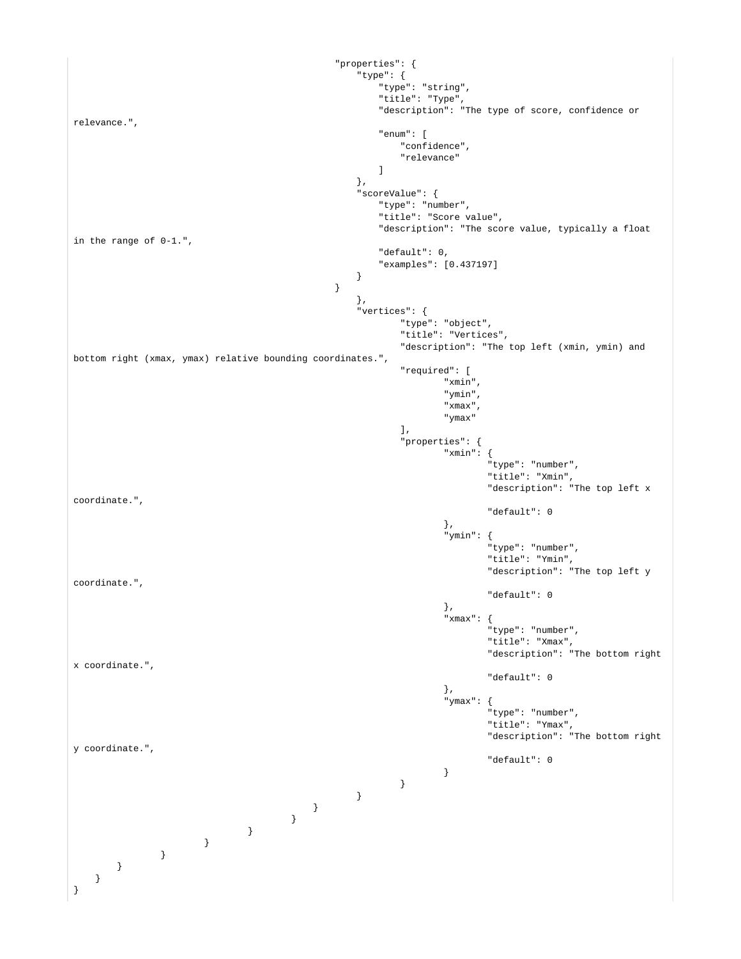```
 "properties": {
                                                  "type": {
                                                     "type": "string",
                                                      "title": "Type",
                                                      "description": "The type of score, confidence or 
relevance.",
                                                      "enum": [
                                                          "confidence",
                                                          "relevance"
design to the control of the control of the control of the control of the control of the control of the control of
\} , and the contract of the contract of the contract of the contract of the contract of the contract of the contract of the contract of the contract of the contract of the contract of the contract of the contract of th
                                                  "scoreValue": {
 "type": "number",
 "title": "Score value",
                                                      "description": "The score value, typically a float 
in the range of 0-1.",
                                                      "default": 0,
                                                      "examples": [0.437197]
 }
 }
\} , and the contract of the contract of the contract of the contract of the contract of the contract of the contract of the contract of the contract of the contract of the contract of the contract of the contract of th
                                                  "vertices": {
                                                          "type": "object",
                                                          "title": "Vertices",
                                                          "description": "The top left (xmin, ymin) and 
bottom right (xmax, ymax) relative bounding coordinates.",
                                                          "required": [
\mathbb{R}^m xmin",
\mathbb{I} ymin",
\mathbb{R}^n xmax \mathbb{R}^n , \mathbb{R}^n "ymax"
\mathbf{1}, \mathbf{1} "properties": {
                                                                 "xmin": {
                                                                         "type": "number",
                                                                         "title": "Xmin",
                                                                         "description": "The top left x 
coordinate.",
                                                                         "default": 0
\}, \{, \{, \}, \{, \}, \{, \}, \{, \}, \{, \}, \{, \{, \}, \{, \}, \{, \}, \{, \}, \{, \}, \{, \}, \{, \}, \{, \}, \{, \}, \{, \}, \{, \}, \{, \},
                                                                  "ymin": {
                                                                         "type": "number",
                                                                         "title": "Ymin",
                                                                         "description": "The top left y 
coordinate.",
                                                                         "default": 0
\}, \{, \{, \}, \{, \}, \{, \}, \{, \}, \{, \}, \{, \{, \}, \{, \}, \{, \}, \{, \}, \{, \}, \{, \}, \{, \}, \{, \}, \{, \}, \{, \}, \{, \}, \{, \},
                                                                 "xmax" : {
                                                                         "type": "number",
                                                                         "title": "Xmax",
                                                                         "description": "The bottom right 
x coordinate.",
                                                                         "default": 0
\}, \{, \{, \}, \{, \}, \{, \}, \{, \}, \{, \}, \{, \{, \}, \{, \}, \{, \}, \{, \}, \{, \}, \{, \}, \{, \}, \{, \}, \{, \}, \{, \}, \{, \}, \{, \},
                                                                  "ymax": {
                                                                         "type": "number",
                                                                         "title": "Ymax",
                                                                         "description": "The bottom right 
y coordinate.",
                                                                 "default": 0
 }
 }
 }
 }
 }
 }
 }
 }
       }
  }
}
```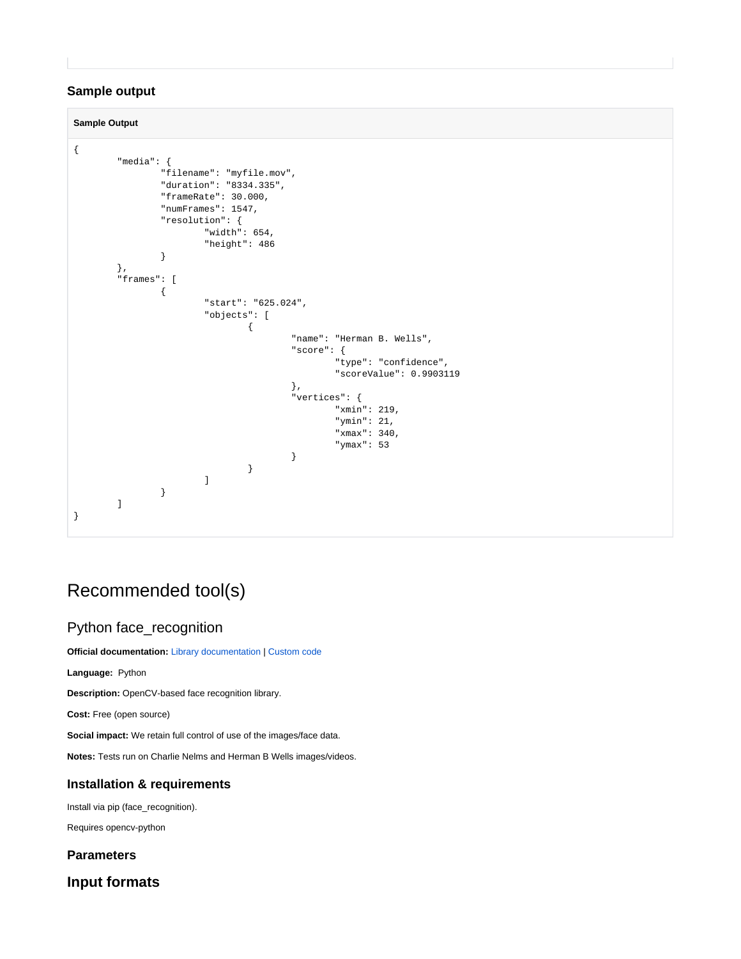#### **Sample output**

**Sample Output**

```
{
           "media": {
                     "filename": "myfile.mov",
                     "duration": "8334.335",
                    "frameRate": 30.000,
                    "numFrames": 1547,
                     "resolution": {
                               "width": 654,
                               "height": 486
 }
           },
           "frames": [
                    {
                                "start": "625.024",
                                "objects": [
{
                                                    "name": "Herman B. Wells",
                                                     "score": {
                                                               "type": "confidence",
                                                              "scoreValue": 0.9903119
\} , and the contract of the contract of the contract of the contract of the contract of the contract of the contract of the contract of the contract of the contract of the contract of the contract of the contract of th
                                                     "vertices": {
                                                               "xmin": 219,
                                                               "ymin": 21,
                                                               "xmax": 340,
                                                              "ymax": 53
 }
 }
design to the control of the control of the control of the control of the control of the control of the control of
 }
           ]
}
```
# <span id="page-4-0"></span>Recommended tool(s)

#### <span id="page-4-1"></span>Python face\_recognition

**Official documentation:** [Library documentation](https://face-recognition.readthedocs.io/en/latest/readme.html) | [Custom code](https://colab.research.google.com/drive/1ARpTbvGw1GjD3rgf65uo5NZp-JcyA5jW#scrollTo=wXN7wGYjwnrW)

**Language:** Python

**Description:** OpenCV-based face recognition library.

**Cost:** Free (open source)

**Social impact:** We retain full control of use of the images/face data.

**Notes:** Tests run on Charlie Nelms and Herman B Wells images/videos.

#### **Installation & requirements**

Install via pip (face\_recognition).

Requires opencv-python

#### **Parameters**

**Input formats**